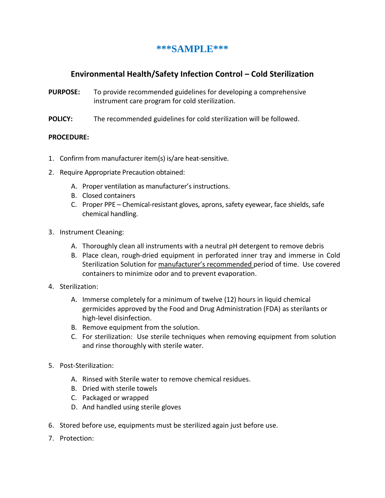## **\*\*\*SAMPLE\*\*\***

## **Environmental Health/Safety Infection Control – Cold Sterilization**

- **PURPOSE:** To provide recommended guidelines for developing a comprehensive instrument care program for cold sterilization.
- **POLICY:** The recommended guidelines for cold sterilization will be followed.

## **PROCEDURE:**

- 1. Confirm from manufacturer item(s) is/are heat-sensitive.
- 2. Require Appropriate Precaution obtained:
	- A. Proper ventilation as manufacturer's instructions.
	- B. Closed containers
	- C. Proper PPE Chemical-resistant gloves, aprons, safety eyewear, face shields, safe chemical handling.
- 3. Instrument Cleaning:
	- A. Thoroughly clean all instruments with a neutral pH detergent to remove debris
	- B. Place clean, rough-dried equipment in perforated inner tray and immerse in Cold Sterilization Solution for manufacturer's recommended period of time. Use covered containers to minimize odor and to prevent evaporation.
- 4. Sterilization:
	- A. Immerse completely for a minimum of twelve (12) hours in liquid chemical germicides approved by the Food and Drug Administration (FDA) as sterilants or high-level disinfection.
	- B. Remove equipment from the solution.
	- C. For sterilization: Use sterile techniques when removing equipment from solution and rinse thoroughly with sterile water.
- 5. Post-Sterilization:
	- A. Rinsed with Sterile water to remove chemical residues.
	- B. Dried with sterile towels
	- C. Packaged or wrapped
	- D. And handled using sterile gloves
- 6. Stored before use, equipments must be sterilized again just before use.
- 7. Protection: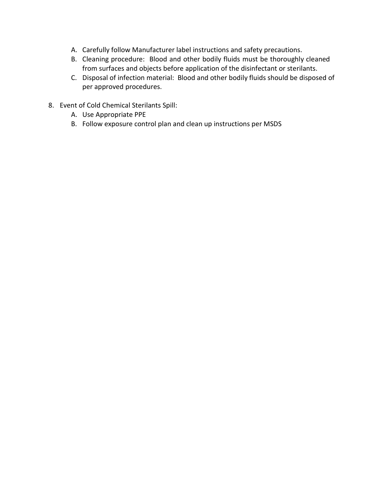- A. Carefully follow Manufacturer label instructions and safety precautions.
- B. Cleaning procedure: Blood and other bodily fluids must be thoroughly cleaned from surfaces and objects before application of the disinfectant or sterilants.
- C. Disposal of infection material: Blood and other bodily fluids should be disposed of per approved procedures.
- 8. Event of Cold Chemical Sterilants Spill:
	- A. Use Appropriate PPE
	- B. Follow exposure control plan and clean up instructions per MSDS